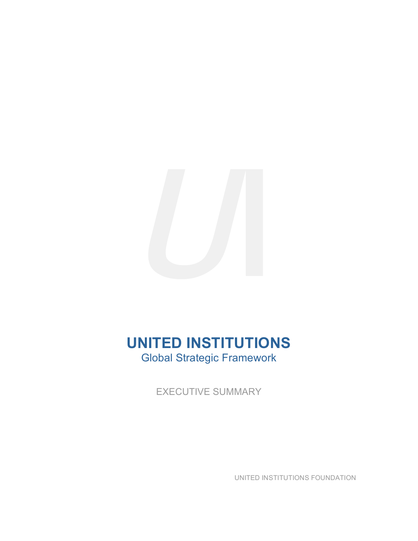

# **UNITED INSTITUTIONS** Global Strategic Framework

EXECUTIVE SUMMARY

UNITED INSTITUTIONS FOUNDATION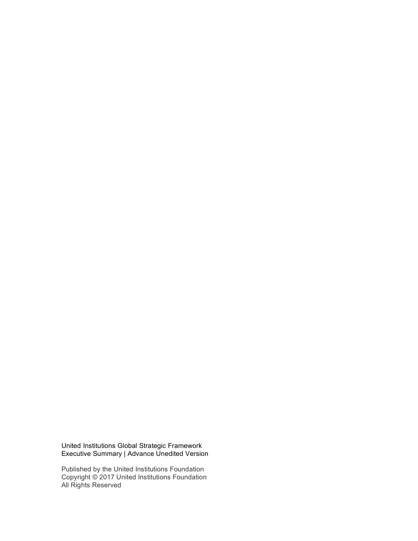United Institutions Global Strategic Framework Executive Summary | Advance Unedited Version

Published by the United Institutions Foundation Copyright © 2017 United Institutions Foundation All Rights Reserved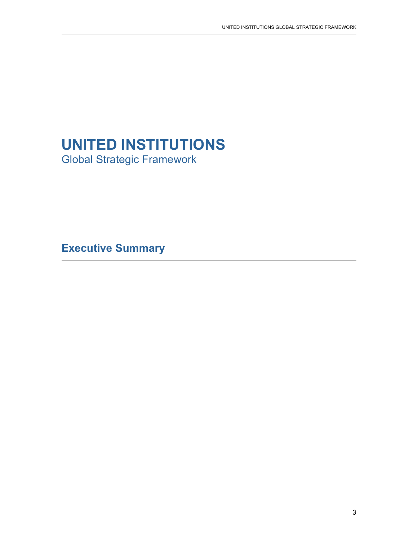# **UNITED INSTITUTIONS**

Global Strategic Framework

**Executive Summary**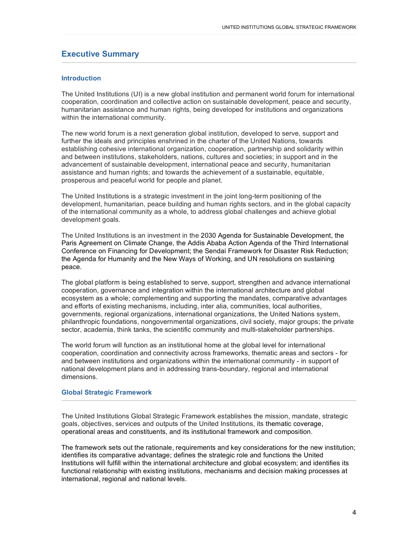# **Executive Summary**

### **Introduction**

The United Institutions (UI) is a new global institution and permanent world forum for international cooperation, coordination and collective action on sustainable development, peace and security, humanitarian assistance and human rights, being developed for institutions and organizations within the international community.

The new world forum is a next generation global institution, developed to serve, support and further the ideals and principles enshrined in the charter of the United Nations, towards establishing cohesive international organization, cooperation, partnership and solidarity within and between institutions, stakeholders, nations, cultures and societies; in support and in the advancement of sustainable development, international peace and security, humanitarian assistance and human rights; and towards the achievement of a sustainable, equitable, prosperous and peaceful world for people and planet.

The United Institutions is a strategic investment in the joint long-term positioning of the development, humanitarian, peace building and human rights sectors, and in the global capacity of the international community as a whole, to address global challenges and achieve global development goals.

The United Institutions is an investment in the 2030 Agenda for Sustainable Development, the Paris Agreement on Climate Change, the Addis Ababa Action Agenda of the Third International Conference on Financing for Development; the Sendai Framework for Disaster Risk Reduction; the Agenda for Humanity and the New Ways of Working, and UN resolutions on sustaining peace.

The global platform is being established to serve, support, strengthen and advance international cooperation, governance and integration within the international architecture and global ecosystem as a whole; complementing and supporting the mandates, comparative advantages and efforts of existing mechanisms, including, inter alia, communities, local authorities, governments, regional organizations, international organizations, the United Nations system, philanthropic foundations, nongovernmental organizations, civil society, major groups; the private sector, academia, think tanks, the scientific community and multi-stakeholder partnerships.

The world forum will function as an institutional home at the global level for international cooperation, coordination and connectivity across frameworks, thematic areas and sectors - for and between institutions and organizations within the international community - in support of national development plans and in addressing trans-boundary, regional and international dimensions.

### **Global Strategic Framework**

The United Institutions Global Strategic Framework establishes the mission, mandate, strategic goals, objectives, services and outputs of the United Institutions, its thematic coverage, operational areas and constituents, and its institutional framework and composition.

The framework sets out the rationale, requirements and key considerations for the new institution; identifies its comparative advantage; defines the strategic role and functions the United Institutions will fulfill within the international architecture and global ecosystem; and identifies its functional relationship with existing institutions, mechanisms and decision making processes at international, regional and national levels.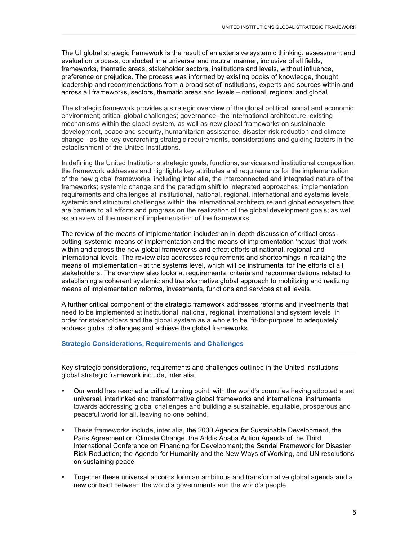The UI global strategic framework is the result of an extensive systemic thinking, assessment and evaluation process, conducted in a universal and neutral manner, inclusive of all fields, frameworks, thematic areas, stakeholder sectors, institutions and levels, without influence, preference or prejudice. The process was informed by existing books of knowledge, thought leadership and recommendations from a broad set of institutions, experts and sources within and across all frameworks, sectors, thematic areas and levels – national, regional and global.

The strategic framework provides a strategic overview of the global political, social and economic environment; critical global challenges; governance, the international architecture, existing mechanisms within the global system, as well as new global frameworks on sustainable development, peace and security, humanitarian assistance, disaster risk reduction and climate change - as the key overarching strategic requirements, considerations and guiding factors in the establishment of the United Institutions.

In defining the United Institutions strategic goals, functions, services and institutional composition, the framework addresses and highlights key attributes and requirements for the implementation of the new global frameworks, including inter alia, the interconnected and integrated nature of the frameworks; systemic change and the paradigm shift to integrated approaches; implementation requirements and challenges at institutional, national, regional, international and systems levels; systemic and structural challenges within the international architecture and global ecosystem that are barriers to all efforts and progress on the realization of the global development goals; as well as a review of the means of implementation of the frameworks.

The review of the means of implementation includes an in-depth discussion of critical crosscutting 'systemic' means of implementation and the means of implementation 'nexus' that work within and across the new global frameworks and effect efforts at national, regional and international levels. The review also addresses requirements and shortcomings in realizing the means of implementation - at the systems level, which will be instrumental for the efforts of all stakeholders. The overview also looks at requirements, criteria and recommendations related to establishing a coherent systemic and transformative global approach to mobilizing and realizing means of implementation reforms, investments, functions and services at all levels.

A further critical component of the strategic framework addresses reforms and investments that need to be implemented at institutional, national, regional, international and system levels, in order for stakeholders and the global system as a whole to be 'fit-for-purpose' to adequately address global challenges and achieve the global frameworks.

## **Strategic Considerations, Requirements and Challenges**

Key strategic considerations, requirements and challenges outlined in the United Institutions global strategic framework include, inter alia,

- Our world has reached a critical turning point, with the world's countries having adopted a set universal, interlinked and transformative global frameworks and international instruments towards addressing global challenges and building a sustainable, equitable, prosperous and peaceful world for all, leaving no one behind.
- These frameworks include, inter alia, the 2030 Agenda for Sustainable Development, the Paris Agreement on Climate Change, the Addis Ababa Action Agenda of the Third International Conference on Financing for Development; the Sendai Framework for Disaster Risk Reduction; the Agenda for Humanity and the New Ways of Working, and UN resolutions on sustaining peace.
- Together these universal accords form an ambitious and transformative global agenda and a new contract between the world's governments and the world's people.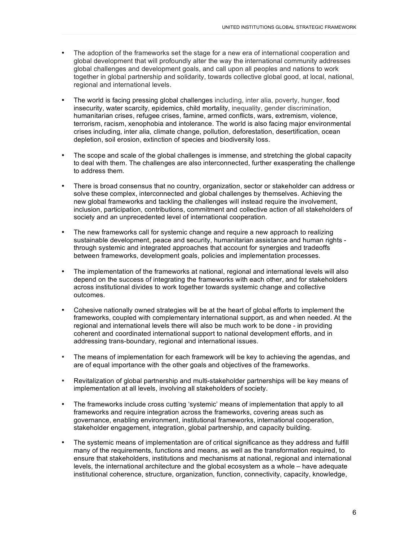- The adoption of the frameworks set the stage for a new era of international cooperation and global development that will profoundly alter the way the international community addresses global challenges and development goals, and call upon all peoples and nations to work together in global partnership and solidarity, towards collective global good, at local, national, regional and international levels.
- The world is facing pressing global challenges including, inter alia, poverty, hunger, food insecurity, water scarcity, epidemics, child mortality, inequality, gender discrimination, humanitarian crises, refugee crises, famine, armed conflicts, wars, extremism, violence, terrorism, racism, xenophobia and intolerance. The world is also facing major environmental crises including, inter alia*,* climate change, pollution, deforestation, desertification, ocean depletion, soil erosion, extinction of species and biodiversity loss.
- The scope and scale of the global challenges is immense, and stretching the global capacity to deal with them. The challenges are also interconnected, further exasperating the challenge to address them.
- There is broad consensus that no country, organization, sector or stakeholder can address or solve these complex, interconnected and global challenges by themselves. Achieving the new global frameworks and tackling the challenges will instead require the involvement, inclusion, participation, contributions, commitment and collective action of all stakeholders of society and an unprecedented level of international cooperation.
- The new frameworks call for systemic change and require a new approach to realizing sustainable development, peace and security, humanitarian assistance and human rights through systemic and integrated approaches that account for synergies and tradeoffs between frameworks, development goals, policies and implementation processes.
- The implementation of the frameworks at national, regional and international levels will also depend on the success of integrating the frameworks with each other, and for stakeholders across institutional divides to work together towards systemic change and collective outcomes.
- Cohesive nationally owned strategies will be at the heart of global efforts to implement the frameworks, coupled with complementary international support, as and when needed. At the regional and international levels there will also be much work to be done - in providing coherent and coordinated international support to national development efforts, and in addressing trans-boundary, regional and international issues.
- The means of implementation for each framework will be key to achieving the agendas, and are of equal importance with the other goals and objectives of the frameworks.
- Revitalization of global partnership and multi-stakeholder partnerships will be key means of implementation at all levels, involving all stakeholders of society.
- The frameworks include cross cutting 'systemic' means of implementation that apply to all frameworks and require integration across the frameworks, covering areas such as governance, enabling environment, institutional frameworks, international cooperation, stakeholder engagement, integration, global partnership, and capacity building.
- The systemic means of implementation are of critical significance as they address and fulfill many of the requirements, functions and means, as well as the transformation required, to ensure that stakeholders, institutions and mechanisms at national, regional and international levels, the international architecture and the global ecosystem as a whole – have adequate institutional coherence, structure, organization, function, connectivity, capacity, knowledge,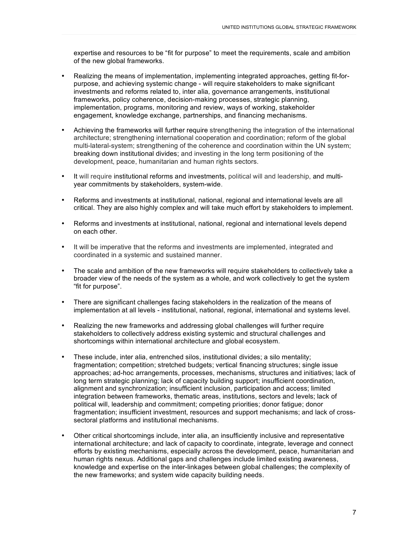expertise and resources to be "fit for purpose" to meet the requirements, scale and ambition of the new global frameworks.

- Realizing the means of implementation, implementing integrated approaches, getting fit-forpurpose, and achieving systemic change - will require stakeholders to make significant investments and reforms related to, inter alia*,* governance arrangements, institutional frameworks, policy coherence, decision-making processes, strategic planning, implementation, programs, monitoring and review, ways of working, stakeholder engagement, knowledge exchange, partnerships, and financing mechanisms.
- Achieving the frameworks will further require strengthening the integration of the international architecture; strengthening international cooperation and coordination; reform of the global multi-lateral-system; strengthening of the coherence and coordination within the UN system; breaking down institutional divides; and investing in the long term positioning of the development, peace, humanitarian and human rights sectors.
- It will require institutional reforms and investments, political will and leadership, and multiyear commitments by stakeholders, system-wide.
- Reforms and investments at institutional, national, regional and international levels are all critical. They are also highly complex and will take much effort by stakeholders to implement.
- Reforms and investments at institutional, national, regional and international levels depend on each other.
- It will be imperative that the reforms and investments are implemented, integrated and coordinated in a systemic and sustained manner.
- The scale and ambition of the new frameworks will require stakeholders to collectively take a broader view of the needs of the system as a whole, and work collectively to get the system "fit for purpose".
- There are significant challenges facing stakeholders in the realization of the means of implementation at all levels - institutional, national, regional, international and systems level.
- Realizing the new frameworks and addressing global challenges will further require stakeholders to collectively address existing systemic and structural challenges and shortcomings within international architecture and global ecosystem.
- These include, inter alia, entrenched silos, institutional divides; a silo mentality; fragmentation; competition; stretched budgets; vertical financing structures; single issue approaches; ad-hoc arrangements, processes, mechanisms, structures and initiatives; lack of long term strategic planning; lack of capacity building support; insufficient coordination, alignment and synchronization; insufficient inclusion, participation and access; limited integration between frameworks, thematic areas, institutions, sectors and levels; lack of political will, leadership and commitment; competing priorities; donor fatigue; donor fragmentation; insufficient investment, resources and support mechanisms; and lack of crosssectoral platforms and institutional mechanisms.
- Other critical shortcomings include, inter alia, an insufficiently inclusive and representative international architecture; and lack of capacity to coordinate, integrate, leverage and connect efforts by existing mechanisms, especially across the development, peace, humanitarian and human rights nexus. Additional gaps and challenges include limited existing awareness, knowledge and expertise on the inter-linkages between global challenges; the complexity of the new frameworks; and system wide capacity building needs.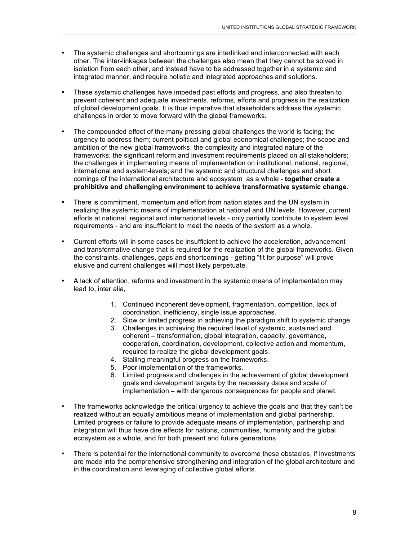- The systemic challenges and shortcomings are interlinked and interconnected with each other. The inter-linkages between the challenges also mean that they cannot be solved in isolation from each other, and instead have to be addressed together in a systemic and integrated manner, and require holistic and integrated approaches and solutions.
- These systemic challenges have impeded past efforts and progress, and also threaten to prevent coherent and adequate investments, reforms, efforts and progress in the realization of global development goals. It is thus imperative that stakeholders address the systemic challenges in order to move forward with the global frameworks.
- The compounded effect of the many pressing global challenges the world is facing; the urgency to address them; current political and global economical challenges; the scope and ambition of the new global frameworks; the complexity and integrated nature of the frameworks; the significant reform and investment requirements placed on all stakeholders; the challenges in implementing means of implementation on institutional, national, regional, international and system-levels; and the systemic and structural challenges and short comings of the international architecture and ecosystem as a whole - **together create a prohibitive and challenging environment to achieve transformative systemic change.**
- There is commitment, momentum and effort from nation states and the UN system in realizing the systemic means of implementation at national and UN levels. However, current efforts at national, regional and international levels - only partially contribute to system level requirements - and are insufficient to meet the needs of the system as a whole.
- Current efforts will in some cases be insufficient to achieve the acceleration, advancement and transformative change that is required for the realization of the global frameworks. Given the constraints, challenges, gaps and shortcomings - getting "fit for purpose" will prove elusive and current challenges will most likely perpetuate.
- A lack of attention, reforms and investment in the systemic means of implementation may lead to, inter alia,
	- 1. Continued incoherent development, fragmentation, competition, lack of coordination, inefficiency, single issue approaches.
	- 2. Slow or limited progress in achieving the paradigm shift to systemic change.
	- 3. Challenges in achieving the required level of systemic, sustained and coherent – transformation, global integration, capacity, governance, cooperation, coordination, development, collective action and momentum, required to realize the global development goals.
	- 4. Stalling meaningful progress on the frameworks.
	- 5. Poor implementation of the frameworks.
	- 6. Limited progress and challenges in the achievement of global development goals and development targets by the necessary dates and scale of implementation – with dangerous consequences for people and planet.
- The frameworks acknowledge the critical urgency to achieve the goals and that they can't be realized without an equally ambitious means of implementation and global partnership. Limited progress or failure to provide adequate means of implementation, partnership and integration will thus have dire effects for nations, communities, humanity and the global ecosystem as a whole, and for both present and future generations.
- There is potential for the international community to overcome these obstacles, if investments are made into the comprehensive strengthening and integration of the global architecture and in the coordination and leveraging of collective global efforts.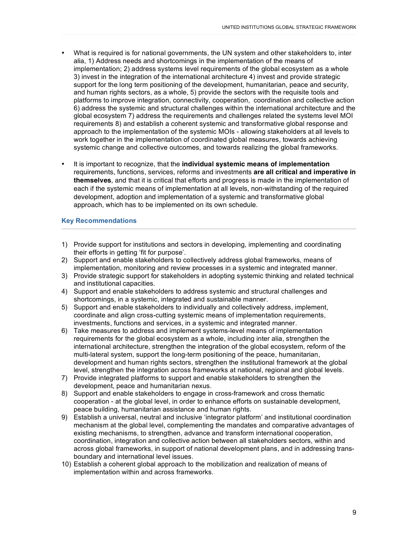- What is required is for national governments, the UN system and other stakeholders to, inter alia, 1) Address needs and shortcomings in the implementation of the means of implementation; 2) address systems level requirements of the global ecosystem as a whole 3) invest in the integration of the international architecture 4) invest and provide strategic support for the long term positioning of the development, humanitarian, peace and security, and human rights sectors, as a whole, 5) provide the sectors with the requisite tools and platforms to improve integration, connectivity, cooperation, coordination and collective action 6) address the systemic and structural challenges within the international architecture and the global ecosystem 7) address the requirements and challenges related the systems level MOI requirements 8) and establish a coherent systemic and transformative global response and approach to the implementation of the systemic MOIs - allowing stakeholders at all levels to work together in the implementation of coordinated global measures, towards achieving systemic change and collective outcomes, and towards realizing the global frameworks.
- It is important to recognize, that the **individual systemic means of implementation** requirements, functions, services, reforms and investments **are all critical and imperative in themselves**, and that it is critical that efforts and progress is made in the implementation of each if the systemic means of implementation at all levels, non-withstanding of the required development, adoption and implementation of a systemic and transformative global approach, which has to be implemented on its own schedule.

## **Key Recommendations**

- 1) Provide support for institutions and sectors in developing, implementing and coordinating their efforts in getting 'fit for purpose'.
- 2) Support and enable stakeholders to collectively address global frameworks, means of implementation, monitoring and review processes in a systemic and integrated manner.
- 3) Provide strategic support for stakeholders in adopting systemic thinking and related technical and institutional capacities.
- 4) Support and enable stakeholders to address systemic and structural challenges and shortcomings, in a systemic, integrated and sustainable manner.
- 5) Support and enable stakeholders to individually and collectively address, implement, coordinate and align cross-cutting systemic means of implementation requirements, investments, functions and services, in a systemic and integrated manner.
- 6) Take measures to address and implement systems-level means of implementation requirements for the global ecosystem as a whole, including inter alia, strengthen the international architecture, strengthen the integration of the global ecosystem, reform of the multi-lateral system, support the long-term positioning of the peace, humanitarian, development and human rights sectors, strengthen the institutional framework at the global level, strengthen the integration across frameworks at national, regional and global levels.
- 7) Provide integrated platforms to support and enable stakeholders to strengthen the development, peace and humanitarian nexus.
- 8) Support and enable stakeholders to engage in cross-framework and cross thematic cooperation - at the global level, in order to enhance efforts on sustainable development, peace building, humanitarian assistance and human rights.
- 9) Establish a universal, neutral and inclusive 'integrator platform' and institutional coordination mechanism at the global level, complementing the mandates and comparative advantages of existing mechanisms, to strengthen, advance and transform international cooperation, coordination, integration and collective action between all stakeholders sectors, within and across global frameworks, in support of national development plans, and in addressing transboundary and international level issues.
- 10) Establish a coherent global approach to the mobilization and realization of means of implementation within and across frameworks.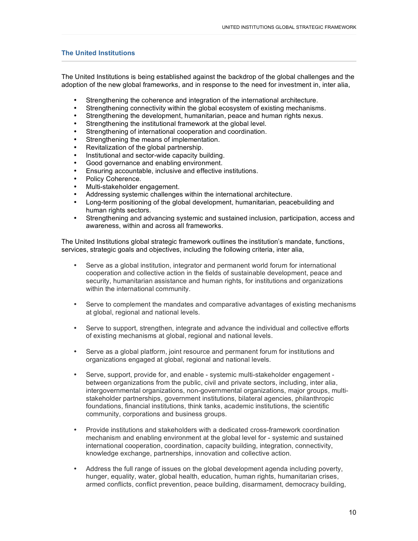# **The United Institutions**

The United Institutions is being established against the backdrop of the global challenges and the adoption of the new global frameworks, and in response to the need for investment in, inter alia,

- Strengthening the coherence and integration of the international architecture.<br>• Strengthening connectivity within the global ecosystem of existing mechanism
- Strengthening connectivity within the global ecosystem of existing mechanisms.
- Strengthening the development, humanitarian, peace and human rights nexus.
- Strengthening the institutional framework at the global level.
- Strengthening of international cooperation and coordination.
- Strengthening the means of implementation.
- Revitalization of the global partnership.
- Institutional and sector-wide capacity building.
- Good governance and enabling environment.
- Ensuring accountable, inclusive and effective institutions.
- Policy Coherence.
- Multi-stakeholder engagement.
- Addressing systemic challenges within the international architecture.<br>• Long-term positioning of the global development, humanitarian, peac
- Long-term positioning of the global development, humanitarian, peacebuilding and human rights sectors.
- Strengthening and advancing systemic and sustained inclusion, participation, access and awareness, within and across all frameworks.

The United Institutions global strategic framework outlines the institution's mandate, functions, services, strategic goals and objectives, including the following criteria, inter alia,

- Serve as a global institution, integrator and permanent world forum for international cooperation and collective action in the fields of sustainable development, peace and security, humanitarian assistance and human rights, for institutions and organizations within the international community.
- Serve to complement the mandates and comparative advantages of existing mechanisms at global, regional and national levels.
- Serve to support, strengthen, integrate and advance the individual and collective efforts of existing mechanisms at global, regional and national levels.
- Serve as a global platform, joint resource and permanent forum for institutions and organizations engaged at global, regional and national levels.
- Serve, support, provide for, and enable systemic multi-stakeholder engagement between organizations from the public, civil and private sectors, including, inter alia, intergovernmental organizations, non-governmental organizations, major groups, multistakeholder partnerships, government institutions, bilateral agencies, philanthropic foundations, financial institutions, think tanks, academic institutions, the scientific community, corporations and business groups.
- Provide institutions and stakeholders with a dedicated cross-framework coordination mechanism and enabling environment at the global level for - systemic and sustained international cooperation, coordination, capacity building, integration, connectivity, knowledge exchange, partnerships, innovation and collective action.
- Address the full range of issues on the global development agenda including poverty, hunger, equality, water, global health, education, human rights, humanitarian crises, armed conflicts, conflict prevention, peace building, disarmament, democracy building,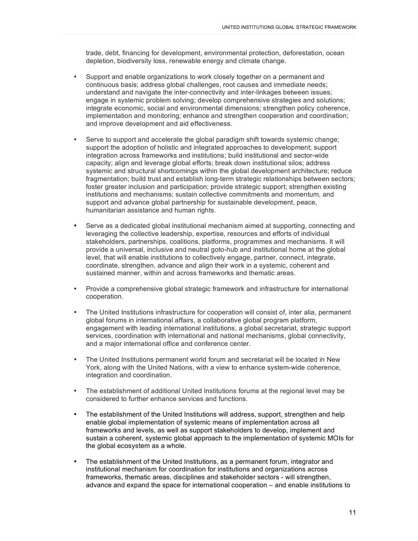trade, debt, financing for development, environmental protection, deforestation, ocean depletion, biodiversity loss, renewable energy and climate change.

- Support and enable organizations to work closely together on a permanent and continuous basis; address global challenges, root causes and immediate needs; understand and navigate the inter-connectivity and inter-linkages between issues; engage in systemic problem solving; develop comprehensive strategies and solutions; integrate economic, social and environmental dimensions; strengthen policy coherence, implementation and monitoring; enhance and strengthen cooperation and coordination; and improve development and aid effectiveness.
- Serve to support and accelerate the global paradigm shift towards systemic change; support the adoption of holistic and integrated approaches to development; support integration across frameworks and institutions; build institutional and sector-wide capacity; align and leverage global efforts; break down institutional silos; address systemic and structural shortcomings within the global development architecture; reduce fragmentation; build trust and establish long-term strategic relationships between sectors; foster greater inclusion and participation; provide strategic support; strengthen existing institutions and mechanisms; sustain collective commitments and momentum, and support and advance global partnership for sustainable development, peace, humanitarian assistance and human rights.
- Serve as a dedicated global institutional mechanism aimed at supporting, connecting and leveraging the collective leadership, expertise, resources and efforts of individual stakeholders, partnerships, coalitions, platforms, programmes and mechanisms. It will provide a universal, inclusive and neutral goto-hub and institutional home at the global level, that will enable institutions to collectively engage, partner, connect, integrate, coordinate, strengthen, advance and align their work in a systemic, coherent and sustained manner, within and across frameworks and thematic areas.
- Provide a comprehensive global strategic framework and infrastructure for international cooperation.
- The United Institutions infrastructure for cooperation will consist of, inter alia, permanent global forums in international affairs, a collaborative global program platform, engagement with leading international institutions, a global secretariat, strategic support services, coordination with international and national mechanisms, global connectivity, and a major international office and conference center.
- The United Institutions permanent world forum and secretariat will be located in New York, along with the United Nations, with a view to enhance system-wide coherence, integration and coordination.
- The establishment of additional United Institutions forums at the regional level may be considered to further enhance services and functions.
- The establishment of the United Institutions will address, support, strengthen and help enable global implementation of systemic means of implementation across all frameworks and levels, as well as support stakeholders to develop, implement and sustain a coherent, systemic global approach to the implementation of systemic MOIs for the global ecosystem as a whole.
- The establishment of the United Institutions, as a permanent forum, integrator and institutional mechanism for coordination for institutions and organizations across frameworks, thematic areas, disciplines and stakeholder sectors - will strengthen, advance and expand the space for international cooperation – and enable institutions to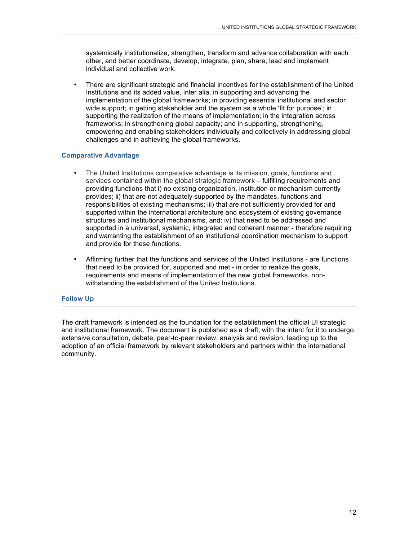systemically institutionalize, strengthen, transform and advance collaboration with each other, and better coordinate, develop, integrate, plan, share, lead and implement individual and collective work.

• There are significant strategic and financial incentives for the establishment of the United Institutions and its added value, inter alia, in supporting and advancing the implementation of the global frameworks; in providing essential institutional and sector wide support; in getting stakeholder and the system as a whole 'fit for purpose'; in supporting the realization of the means of implementation; in the integration across frameworks; in strengthening global capacity; and in supporting, strengthening, empowering and enabling stakeholders individually and collectively in addressing global challenges and in achieving the global frameworks.

### **Comparative Advantage**

- The United Institutions comparative advantage is its mission, goals, functions and services contained within the global strategic framework – fulfilling requirements and providing functions that i) no existing organization, institution or mechanism currently provides; ii) that are not adequately supported by the mandates, functions and responsibilities of existing mechanisms; iii) that are not sufficiently provided for and supported within the international architecture and ecosystem of existing governance structures and institutional mechanisms, and: iv) that need to be addressed and supported in a universal, systemic, integrated and coherent manner - therefore requiring and warranting the establishment of an institutional coordination mechanism to support and provide for these functions.
- Affirming further that the functions and services of the United Institutions are functions that need to be provided for, supported and met - in order to realize the goals, requirements and means of implementation of the new global frameworks, nonwithstanding the establishment of the United Institutions.

### **Follow Up**

The draft framework is intended as the foundation for the establishment the official UI strategic and institutional framework. The document is published as a draft, with the intent for it to undergo extensive consultation, debate, peer-to-peer review, analysis and revision, leading up to the adoption of an official framework by relevant stakeholders and partners within the international • Affirming further<br>that need to be<br>requirements ar<br>withstanding the<br>Follow Up<br>The draft framework is in<br>and institutional framework<br>extensive consultation, a<br>adoption of an official framework